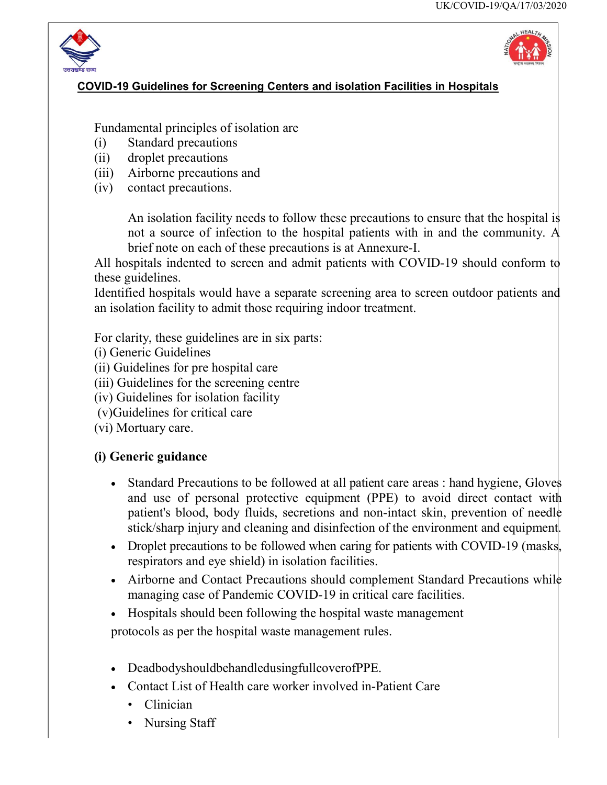



## COVID-19 Guidelines for Screening Centers and isolation Facilities in Hospitals

Fundamental principles of isolation are

- (i) Standard precautions
- (ii) droplet precautions
- (iii) Airborne precautions and
- (iv) contact precautions.

An isolation facility needs to follow these precautions to ensure that the hospital is not a source of infection to the hospital patients with in and the community. A brief note on each of these precautions is at Annexure-I.

All hospitals indented to screen and admit patients with COVID-19 should conform to these guidelines.

Identified hospitals would have a separate screening area to screen outdoor patients and an isolation facility to admit those requiring indoor treatment.

For clarity, these guidelines are in six parts:

- (i) Generic Guidelines
- (ii) Guidelines for pre hospital care
- (iii) Guidelines for the screening centre
- (iv) Guidelines for isolation facility
- (v)Guidelines for critical care
- (vi) Mortuary care.

# (i) Generic guidance

- Standard Precautions to be followed at all patient care areas : hand hygiene, Gloves and use of personal protective equipment (PPE) to avoid direct contact with patient's blood, body fluids, secretions and non-intact skin, prevention of needle stick/sharp injury and cleaning and disinfection of the environment and equipment.
- Droplet precautions to be followed when caring for patients with COVID-19 (masks, respirators and eye shield) in isolation facilities.
- Airborne and Contact Precautions should complement Standard Precautions while managing case of Pandemic COVID-19 in critical care facilities.
- Hospitals should been following the hospital waste management protocols as per the hospital waste management rules.
- DeadbodyshouldbehandledusingfullcoverofPPE.
- Contact List of Health care worker involved in-Patient Care<br>• Clinician<br>• Nursing Staff
	-
	-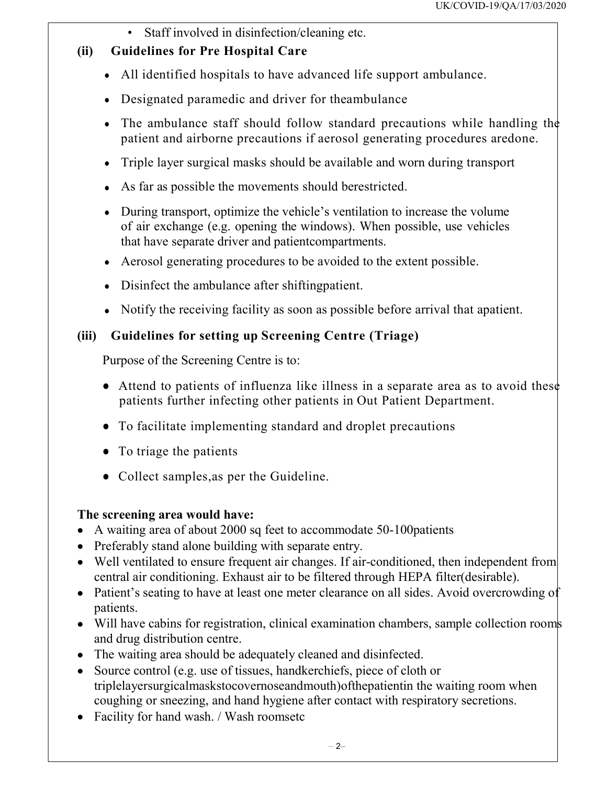Staff involved in disinfection/cleaning etc.

# (ii) Guidelines for Pre Hospital Care

- All identified hospitals to have advanced life support ambulance.
- Designated paramedic and driver for theambulance
- The ambulance staff should follow standard precautions while handling the patient and airborne precautions if aerosol generating procedures aredone.
- Triple layer surgical masks should be available and worn during transport
- As far as possible the movements should berestricted.
- During transport, optimize the vehicle's ventilation to increase the volume of air exchange (e.g. opening the windows). When possible, use vehicles that have separate driver and patientcompartments.
- Aerosol generating procedures to be avoided to the extent possible.
- Disinfect the ambulance after shifting patient.
- Notify the receiving facility as soon as possible before arrival that apatient.

# (iii) Guidelines for setting up Screening Centre (Triage)

Purpose of the Screening Centre is to:

- Attend to patients of influenza like illness in a separate area as to avoid these patients further infecting other patients in Out Patient Department.
- To facilitate implementing standard and droplet precautions
- To triage the patients
- Collect samples,as per the Guideline.

# The screening area would have:

- A waiting area of about 2000 sq feet to accommodate 50-100patients
- Preferably stand alone building with separate entry.
- Well ventilated to ensure frequent air changes. If air-conditioned, then independent from central air conditioning. Exhaust air to be filtered through HEPA filter(desirable).
- Patient's seating to have at least one meter clearance on all sides. Avoid overcrowding of patients.
- Will have cabins for registration, clinical examination chambers, sample collection rooms and drug distribution centre.
- The waiting area should be adequately cleaned and disinfected.
- Source control (e.g. use of tissues, handkerchiefs, piece of cloth or triplelayersurgicalmaskstocovernoseandmouth)ofthepatientin the waiting room when coughing or sneezing, and hand hygiene after contact with respiratory secretions.
- Facility for hand wash. / Wash roomsetc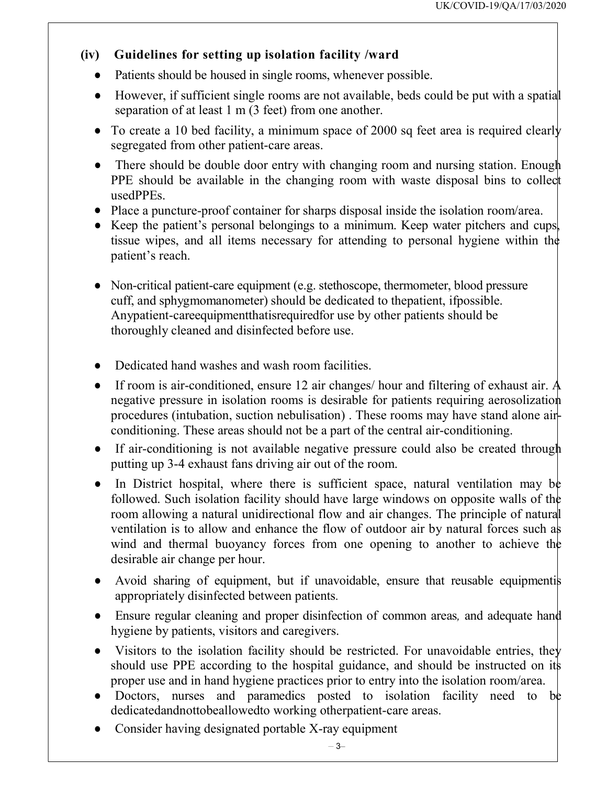# (iv) Guidelines for setting up isolation facility /ward

- Patients should be housed in single rooms, whenever possible.
- However, if sufficient single rooms are not available, beds could be put with a spatial separation of at least 1 m (3 feet) from one another.
- To create a 10 bed facility, a minimum space of 2000 sq feet area is required clearly segregated from other patient-care areas.
- There should be double door entry with changing room and nursing station. Enough PPE should be available in the changing room with waste disposal bins to collect usedPPEs.
- Place a puncture-proof container for sharps disposal inside the isolation room/area.
- Keep the patient's personal belongings to a minimum. Keep water pitchers and cups tissue wipes, and all items necessary for attending to personal hygiene within the patient's reach.
- Non-critical patient-care equipment (e.g. stethoscope, thermometer, blood pressure cuff, and sphygmomanometer) should be dedicated to thepatient, ifpossible. Anypatient-careequipmentthatisrequiredfor use by other patients should be thoroughly cleaned and disinfected before use.
- Dedicated hand washes and wash room facilities.
- If room is air-conditioned, ensure 12 air changes/ hour and filtering of exhaust air.  $\bf{A}$ negative pressure in isolation rooms is desirable for patients requiring aerosolization procedures (intubation, suction nebulisation) . These rooms may have stand alone airconditioning. These areas should not be a part of the central air-conditioning.
- If air-conditioning is not available negative pressure could also be created through putting up 3-4 exhaust fans driving air out of the room.
- In District hospital, where there is sufficient space, natural ventilation may be followed. Such isolation facility should have large windows on opposite walls of the room allowing a natural unidirectional flow and air changes. The principle of natural ventilation is to allow and enhance the flow of outdoor air by natural forces such as wind and thermal buoyancy forces from one opening to another to achieve the desirable air change per hour.
- Avoid sharing of equipment, but if unavoidable, ensure that reusable equipmentis appropriately disinfected between patients.
- Ensure regular cleaning and proper disinfection of common areas, and adequate hand hygiene by patients, visitors and caregivers.
- Visitors to the isolation facility should be restricted. For unavoidable entries, they should use PPE according to the hospital guidance, and should be instructed on its proper use and in hand hygiene practices prior to entry into the isolation room/area.
- Doctors, nurses and paramedics posted to isolation facility need to be dedicatedandnottobeallowedto working otherpatient-care areas.
- Consider having designated portable X-ray equipment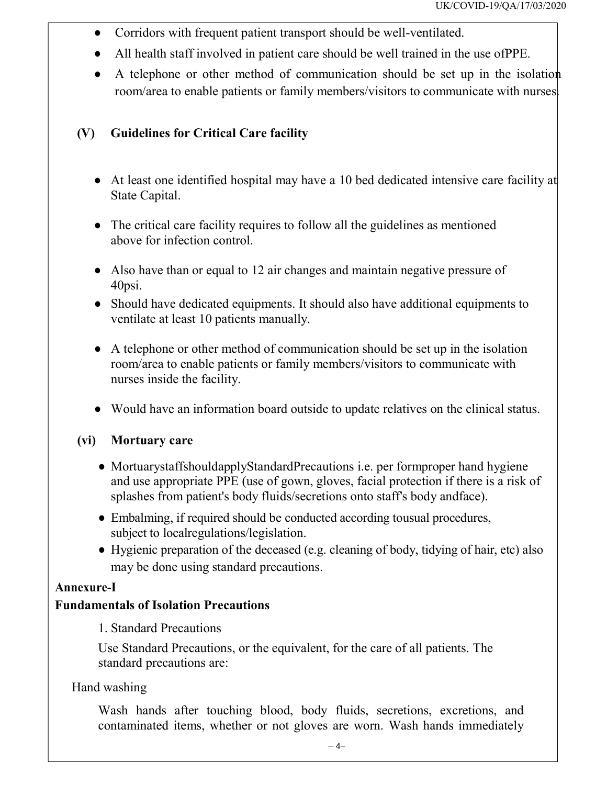- Corridors with frequent patient transport should be well-ventilated.
- All health staff involved in patient care should be well trained in the use of PPE.
- A telephone or other method of communication should be set up in the isolation room/area to enable patients or family members/visitors to communicate with nurses.

# (V) Guidelines for Critical Care facility

- At least one identified hospital may have a 10 bed dedicated intensive care facility at State Capital.
- The critical care facility requires to follow all the guidelines as mentioned above for infection control.
- Also have than or equal to 12 air changes and maintain negative pressure of 40psi.
- Should have dedicated equipments. It should also have additional equipments to ventilate at least 10 patients manually.
- A telephone or other method of communication should be set up in the isolation room/area to enable patients or family members/visitors to communicate with nurses inside the facility.
- Would have an information board outside to update relatives on the clinical status.

# (vi) Mortuary care

- MortuarystaffshouldapplyStandardPrecautions i.e. per formproper hand hygiene and use appropriate PPE (use of gown, gloves, facial protection if there is a risk of splashes from patient's body fluids/secretions onto staff's body andface).
- Embalming, if required should be conducted according tousual procedures, subject to localregulations/legislation.
- Hygienic preparation of the deceased (e.g. cleaning of body, tidying of hair, etc) also may be done using standard precautions.

# Annexure-I

# Fundamentals of Isolation Precautions

1. Standard Precautions

Use Standard Precautions, or the equivalent, for the care of all patients. The standard precautions are:

Hand washing

Wash hands after touching blood, body fluids, secretions, excretions, and contaminated items, whether or not gloves are worn. Wash hands immediately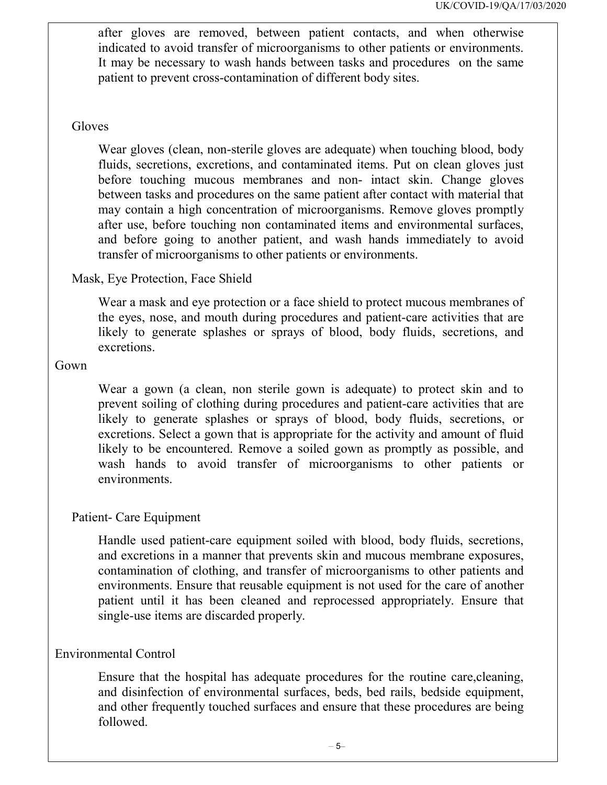after gloves are removed, between patient contacts, and when otherwise indicated to avoid transfer of microorganisms to other patients or environments. It may be necessary to wash hands between tasks and procedures on the same patient to prevent cross-contamination of different body sites.

### Gloves

Wear gloves (clean, non-sterile gloves are adequate) when touching blood, body fluids, secretions, excretions, and contaminated items. Put on clean gloves just before touching mucous membranes and non- intact skin. Change gloves between tasks and procedures on the same patient after contact with material that may contain a high concentration of microorganisms. Remove gloves promptly after use, before touching non contaminated items and environmental surfaces, and before going to another patient, and wash hands immediately to avoid transfer of microorganisms to other patients or environments.

Mask, Eye Protection, Face Shield

Wear a mask and eye protection or a face shield to protect mucous membranes of the eyes, nose, and mouth during procedures and patient-care activities that are likely to generate splashes or sprays of blood, body fluids, secretions, and excretions.

### Gown

Wear a gown (a clean, non sterile gown is adequate) to protect skin and to prevent soiling of clothing during procedures and patient-care activities that are likely to generate splashes or sprays of blood, body fluids, secretions, or excretions. Select a gown that is appropriate for the activity and amount of fluid likely to be encountered. Remove a soiled gown as promptly as possible, and wash hands to avoid transfer of microorganisms to other patients or environments.

## Patient- Care Equipment

Handle used patient-care equipment soiled with blood, body fluids, secretions, and excretions in a manner that prevents skin and mucous membrane exposures, contamination of clothing, and transfer of microorganisms to other patients and environments. Ensure that reusable equipment is not used for the care of another patient until it has been cleaned and reprocessed appropriately. Ensure that single-use items are discarded properly.

## Environmental Control

Ensure that the hospital has adequate procedures for the routine care,cleaning, and disinfection of environmental surfaces, beds, bed rails, bedside equipment, and other frequently touched surfaces and ensure that these procedures are being followed.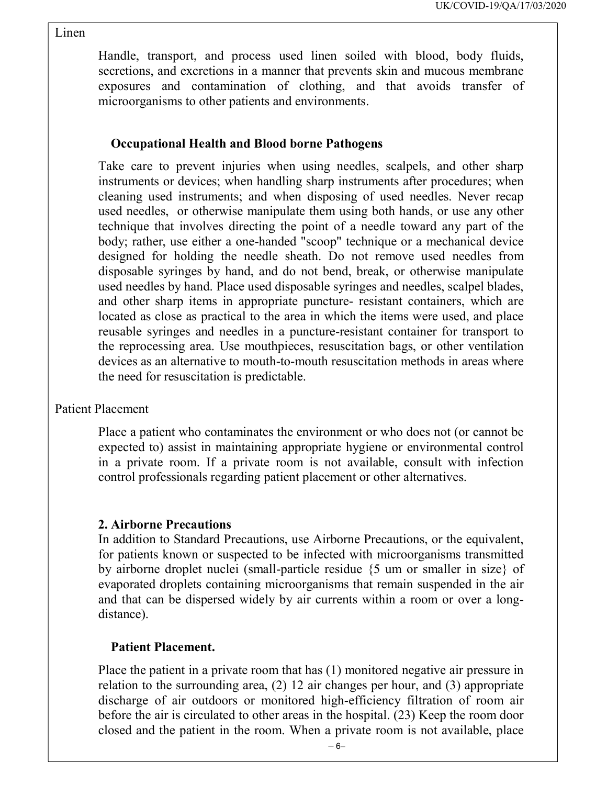#### Linen

Handle, transport, and process used linen soiled with blood, body fluids, secretions, and excretions in a manner that prevents skin and mucous membrane exposures and contamination of clothing, and that avoids transfer of microorganisms to other patients and environments.

#### Occupational Health and Blood borne Pathogens

Take care to prevent injuries when using needles, scalpels, and other sharp instruments or devices; when handling sharp instruments after procedures; when cleaning used instruments; and when disposing of used needles. Never recap used needles, or otherwise manipulate them using both hands, or use any other technique that involves directing the point of a needle toward any part of the body; rather, use either a one-handed "scoop" technique or a mechanical device designed for holding the needle sheath. Do not remove used needles from disposable syringes by hand, and do not bend, break, or otherwise manipulate used needles by hand. Place used disposable syringes and needles, scalpel blades, and other sharp items in appropriate puncture- resistant containers, which are located as close as practical to the area in which the items were used, and place reusable syringes and needles in a puncture-resistant container for transport to the reprocessing area. Use mouthpieces, resuscitation bags, or other ventilation devices as an alternative to mouth-to-mouth resuscitation methods in areas where the need for resuscitation is predictable.

### Patient Placement

Place a patient who contaminates the environment or who does not (or cannot be expected to) assist in maintaining appropriate hygiene or environmental control in a private room. If a private room is not available, consult with infection control professionals regarding patient placement or other alternatives.

### 2. Airborne Precautions

In addition to Standard Precautions, use Airborne Precautions, or the equivalent, for patients known or suspected to be infected with microorganisms transmitted by airborne droplet nuclei (small-particle residue {5 um or smaller in size} of evaporated droplets containing microorganisms that remain suspended in the air and that can be dispersed widely by air currents within a room or over a longdistance).

#### Patient Placement.

Place the patient in a private room that has (1) monitored negative air pressure in relation to the surrounding area, (2) 12 air changes per hour, and (3) appropriate discharge of air outdoors or monitored high-efficiency filtration of room air before the air is circulated to other areas in the hospital. (23) Keep the room door closed and the patient in the room. When a private room is not available, place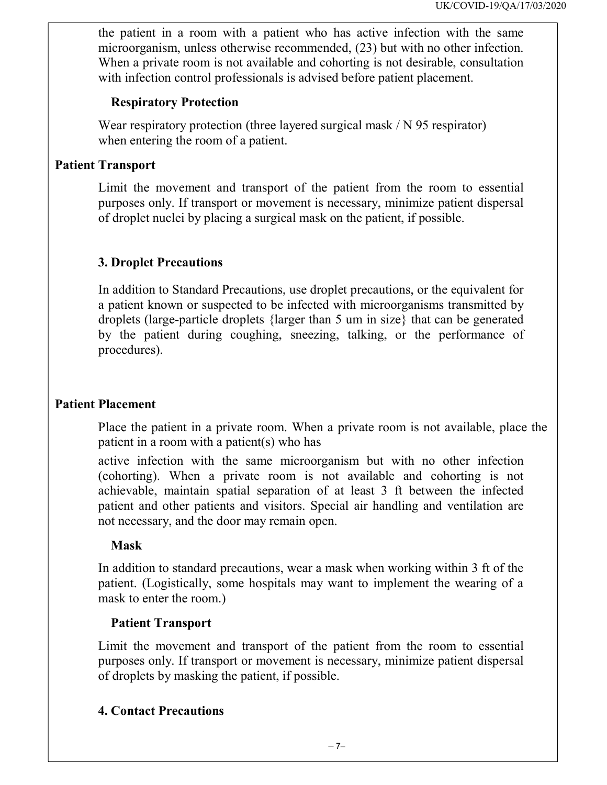the patient in a room with a patient who has active infection with the same microorganism, unless otherwise recommended, (23) but with no other infection. When a private room is not available and cohorting is not desirable, consultation with infection control professionals is advised before patient placement.

## Respiratory Protection

Wear respiratory protection (three layered surgical mask / N 95 respirator) when entering the room of a patient.

## Patient Transport

Limit the movement and transport of the patient from the room to essential purposes only. If transport or movement is necessary, minimize patient dispersal of droplet nuclei by placing a surgical mask on the patient, if possible.

# 3. Droplet Precautions

In addition to Standard Precautions, use droplet precautions, or the equivalent for a patient known or suspected to be infected with microorganisms transmitted by droplets (large-particle droplets {larger than 5 um in size} that can be generated by the patient during coughing, sneezing, talking, or the performance of procedures).

# Patient Placement

Place the patient in a private room. When a private room is not available, place the patient in a room with a patient(s) who has

active infection with the same microorganism but with no other infection (cohorting). When a private room is not available and cohorting is not achievable, maintain spatial separation of at least 3 ft between the infected patient and other patients and visitors. Special air handling and ventilation are not necessary, and the door may remain open.

# Mask

In addition to standard precautions, wear a mask when working within 3 ft of the patient. (Logistically, some hospitals may want to implement the wearing of a mask to enter the room.)

## Patient Transport

Limit the movement and transport of the patient from the room to essential purposes only. If transport or movement is necessary, minimize patient dispersal of droplets by masking the patient, if possible.

## 4. Contact Precautions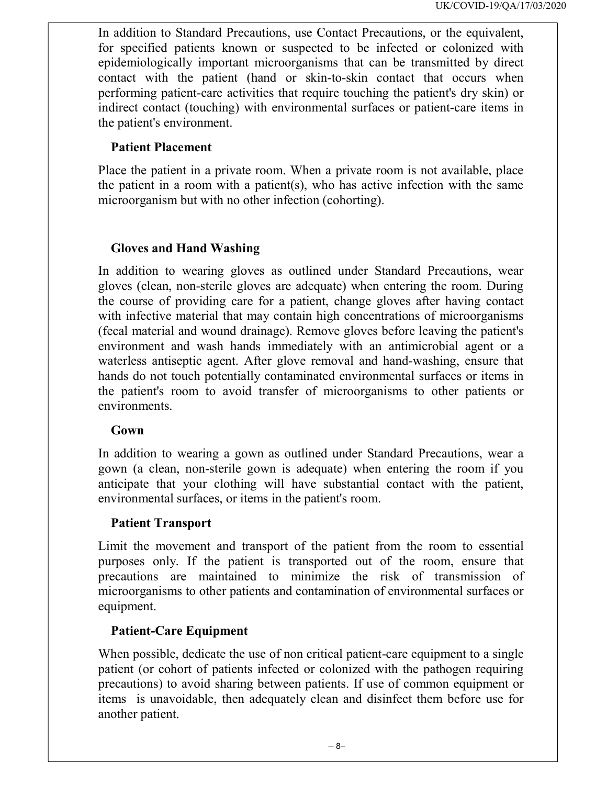In addition to Standard Precautions, use Contact Precautions, or the equivalent, for specified patients known or suspected to be infected or colonized with epidemiologically important microorganisms that can be transmitted by direct contact with the patient (hand or skin-to-skin contact that occurs when performing patient-care activities that require touching the patient's dry skin) or indirect contact (touching) with environmental surfaces or patient-care items in the patient's environment.

## Patient Placement

Place the patient in a private room. When a private room is not available, place the patient in a room with a patient(s), who has active infection with the same microorganism but with no other infection (cohorting).

## Gloves and Hand Washing

In addition to wearing gloves as outlined under Standard Precautions, wear gloves (clean, non-sterile gloves are adequate) when entering the room. During the course of providing care for a patient, change gloves after having contact with infective material that may contain high concentrations of microorganisms (fecal material and wound drainage). Remove gloves before leaving the patient's environment and wash hands immediately with an antimicrobial agent or a waterless antiseptic agent. After glove removal and hand-washing, ensure that hands do not touch potentially contaminated environmental surfaces or items in the patient's room to avoid transfer of microorganisms to other patients or environments.

## Gown

In addition to wearing a gown as outlined under Standard Precautions, wear a gown (a clean, non-sterile gown is adequate) when entering the room if you anticipate that your clothing will have substantial contact with the patient, environmental surfaces, or items in the patient's room.

## Patient Transport

Limit the movement and transport of the patient from the room to essential purposes only. If the patient is transported out of the room, ensure that precautions are maintained to minimize the risk of transmission of microorganisms to other patients and contamination of environmental surfaces or equipment.

## Patient-Care Equipment

When possible, dedicate the use of non critical patient-care equipment to a single patient (or cohort of patients infected or colonized with the pathogen requiring precautions) to avoid sharing between patients. If use of common equipment or items is unavoidable, then adequately clean and disinfect them before use for another patient.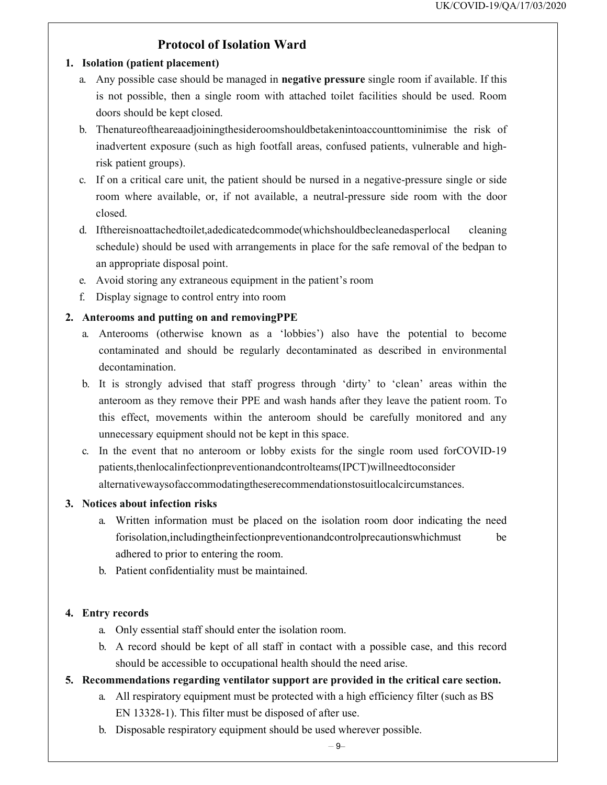## Protocol of Isolation Ward

### 1. Isolation (patient placement)

- a. Any possible case should be managed in negative pressure single room if available. If this is not possible, then a single room with attached toilet facilities should be used. Room doors should be kept closed.
- b. Thenatureoftheareaadjoiningthesideroomshouldbetakenintoaccounttominimise the risk of inadvertent exposure (such as high footfall areas, confused patients, vulnerable and highrisk patient groups).
- c. If on a critical care unit, the patient should be nursed in a negative-pressure single or side room where available, or, if not available, a neutral-pressure side room with the door closed.
- d. Ifthereisnoattachedtoilet,adedicatedcommode(whichshouldbecleanedasperlocal cleaning schedule) should be used with arrangements in place for the safe removal of the bedpan to an appropriate disposal point.
- e. Avoid storing any extraneous equipment in the patient's room
- f. Display signage to control entry into room

### 2. Anterooms and putting on and removingPPE

- a. Anterooms (otherwise known as a 'lobbies') also have the potential to become contaminated and should be regularly decontaminated as described in environmental decontamination.
- b. It is strongly advised that staff progress through 'dirty' to 'clean' areas within the anteroom as they remove their PPE and wash hands after they leave the patient room. To this effect, movements within the anteroom should be carefully monitored and any unnecessary equipment should not be kept in this space.
- c. In the event that no anteroom or lobby exists for the single room used forCOVID-19 patients,thenlocalinfectionpreventionandcontrolteams(IPCT)willneedtoconsider alternativewaysofaccommodatingtheserecommendationstosuitlocalcircumstances.

#### 3. Notices about infection risks

- a. Written information must be placed on the isolation room door indicating the need forisolation,includingtheinfectionpreventionandcontrolprecautionswhichmust be adhered to prior to entering the room.
- b. Patient confidentiality must be maintained.

### 4. Entry records

- a. Only essential staff should enter the isolation room.
- b. A record should be kept of all staff in contact with a possible case, and this record should be accessible to occupational health should the need arise.

### 5. Recommendations regarding ventilator support are provided in the critical care section.

- a. All respiratory equipment must be protected with a high efficiency filter (such as BS EN 13328-1). This filter must be disposed of after use.
- b. Disposable respiratory equipment should be used wherever possible.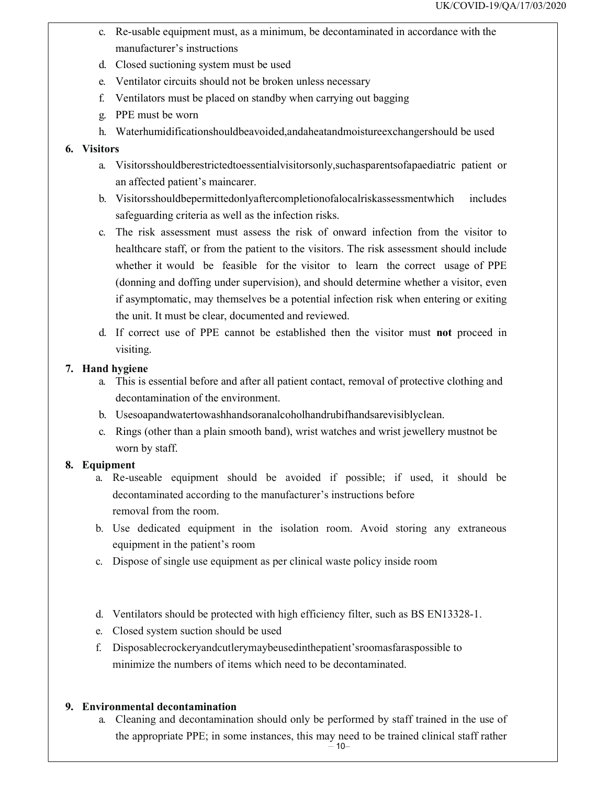- c. Re-usable equipment must, as a minimum, be decontaminated in accordance with the manufacturer's instructions
- d. Closed suctioning system must be used
- e. Ventilator circuits should not be broken unless necessary
- f. Ventilators must be placed on standby when carrying out bagging
- g. PPE must be worn
- h. Waterhumidificationshouldbeavoided,andaheatandmoistureexchangershould be used

### 6. Visitors

- a. Visitorsshouldberestrictedtoessentialvisitorsonly,suchasparentsofapaediatric patient or an affected patient's maincarer.
- b. Visitorsshouldbepermittedonlyaftercompletionofalocalriskassessmentwhich includes safeguarding criteria as well as the infection risks.
- c. The risk assessment must assess the risk of onward infection from the visitor to healthcare staff, or from the patient to the visitors. The risk assessment should include whether it would be feasible for the visitor to learn the correct usage of PPE (donning and doffing under supervision), and should determine whether a visitor, even if asymptomatic, may themselves be a potential infection risk when entering or exiting the unit. It must be clear, documented and reviewed.
- d. If correct use of PPE cannot be established then the visitor must not proceed in visiting.

### 7. Hand hygiene

- a. This is essential before and after all patient contact, removal of protective clothing and decontamination of the environment.
- b. Usesoapandwatertowashhandsoranalcoholhandrubifhandsarevisiblyclean.
- c. Rings (other than a plain smooth band), wrist watches and wrist jewellery mustnot be worn by staff.

### 8. Equipment

- a. Re-useable equipment should be avoided if possible; if used, it should be decontaminated according to the manufacturer's instructions before removal from the room.
- b. Use dedicated equipment in the isolation room. Avoid storing any extraneous equipment in the patient's room
- c. Dispose of single use equipment as per clinical waste policy inside room
- d. Ventilators should be protected with high efficiency filter, such as BS EN13328-1.
- e. Closed system suction should be used
- f. Disposablecrockeryandcutlerymaybeusedinthepatient'sroomasfaraspossible to minimize the numbers of items which need to be decontaminated.

### 9. Environmental decontamination

a. Cleaning and decontamination should only be performed by staff trained in the use of the appropriate PPE; in some instances, this may need to be trained clinical staff rather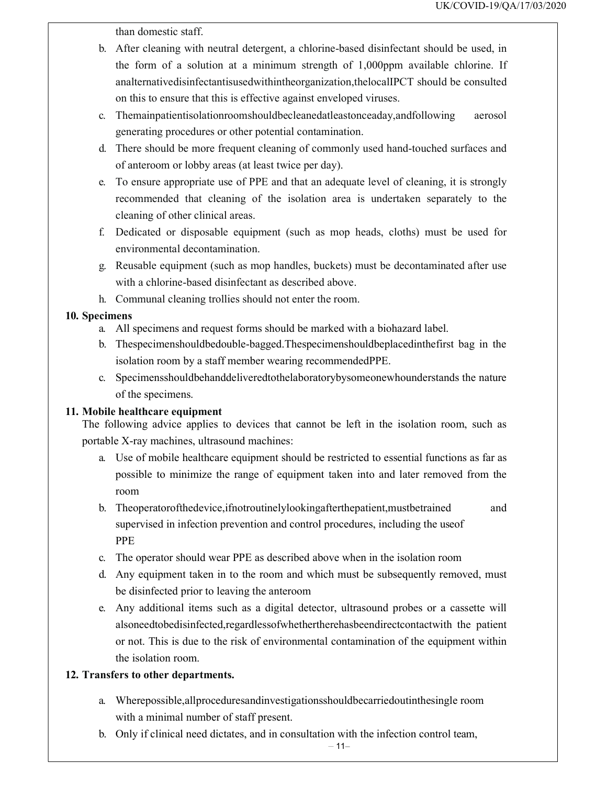than domestic staff.

- b. After cleaning with neutral detergent, a chlorine-based disinfectant should be used, in the form of a solution at a minimum strength of 1,000ppm available chlorine. If analternativedisinfectantisusedwithintheorganization,thelocalIPCT should be consulted on this to ensure that this is effective against enveloped viruses.
- c. Themainpatientisolationroomshouldbecleanedatleastonceaday,andfollowing aerosol generating procedures or other potential contamination.
- d. There should be more frequent cleaning of commonly used hand-touched surfaces and of anteroom or lobby areas (at least twice per day).
- e. To ensure appropriate use of PPE and that an adequate level of cleaning, it is strongly recommended that cleaning of the isolation area is undertaken separately to the cleaning of other clinical areas.
- f. Dedicated or disposable equipment (such as mop heads, cloths) must be used for environmental decontamination.
- g. Reusable equipment (such as mop handles, buckets) must be decontaminated after use with a chlorine-based disinfectant as described above.
- h. Communal cleaning trollies should not enter the room.

### 10. Specimens

- a. All specimens and request forms should be marked with a biohazard label.
- b. Thespecimenshouldbedouble-bagged.Thespecimenshouldbeplacedinthefirst bag in the isolation room by a staff member wearing recommendedPPE.
- c. Specimensshouldbehanddeliveredtothelaboratorybysomeonewhounderstands the nature of the specimens.

### 11. Mobile healthcare equipment

The following advice applies to devices that cannot be left in the isolation room, such as portable X-ray machines, ultrasound machines:

- a. Use of mobile healthcare equipment should be restricted to essential functions as far as possible to minimize the range of equipment taken into and later removed from the room
- b. Theoperatorofthedevice,ifnotroutinelylookingafterthepatient,mustbetrained and supervised in infection prevention and control procedures, including the useof PPE
- c. The operator should wear PPE as described above when in the isolation room
- d. Any equipment taken in to the room and which must be subsequently removed, must be disinfected prior to leaving the anteroom
- e. Any additional items such as a digital detector, ultrasound probes or a cassette will alsoneedtobedisinfected,regardlessofwhethertherehasbeendirectcontactwith the patient or not. This is due to the risk of environmental contamination of the equipment within the isolation room.

### 12. Transfers to other departments.

- a. Wherepossible,allproceduresandinvestigationsshouldbecarriedoutinthesingle room with a minimal number of staff present.
- b. Only if clinical need dictates, and in consultation with the infection control team,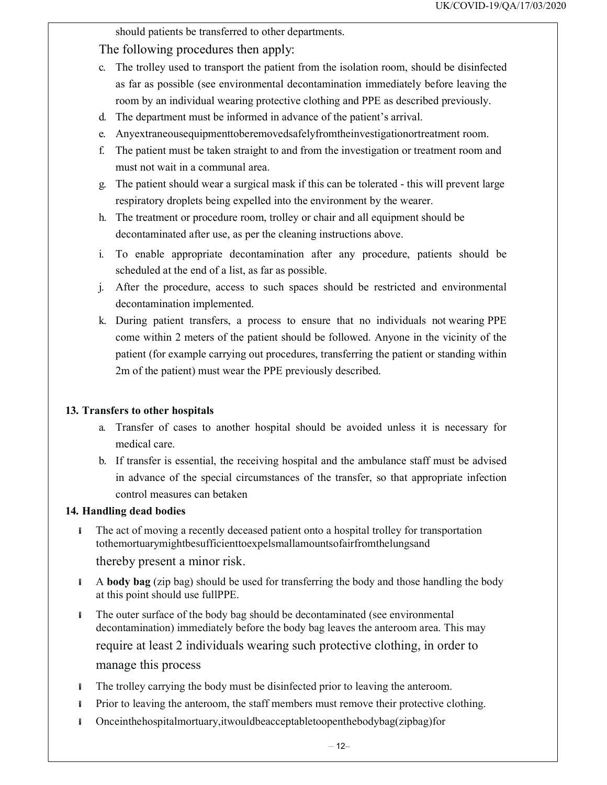should patients be transferred to other departments.

The following procedures then apply:

- c. The trolley used to transport the patient from the isolation room, should be disinfected as far as possible (see environmental decontamination immediately before leaving the room by an individual wearing protective clothing and PPE as described previously.
- d. The department must be informed in advance of the patient's arrival.
- e. Anyextraneousequipmenttoberemovedsafelyfromtheinvestigationortreatment room.
- f. The patient must be taken straight to and from the investigation or treatment room and must not wait in a communal area.
- g. The patient should wear a surgical mask if this can be tolerated this will prevent large respiratory droplets being expelled into the environment by the wearer.
- h. The treatment or procedure room, trolley or chair and all equipment should be decontaminated after use, as per the cleaning instructions above.
- i. To enable appropriate decontamination after any procedure, patients should be scheduled at the end of a list, as far as possible.
- j. After the procedure, access to such spaces should be restricted and environmental decontamination implemented.
- k. During patient transfers, a process to ensure that no individuals not wearing PPE come within 2 meters of the patient should be followed. Anyone in the vicinity of the patient (for example carrying out procedures, transferring the patient or standing within 2m of the patient) must wear the PPE previously described.

### 13. Transfers to other hospitals

- a. Transfer of cases to another hospital should be avoided unless it is necessary for medical care.
- b. If transfer is essential, the receiving hospital and the ambulance staff must be advised in advance of the special circumstances of the transfer, so that appropriate infection control measures can betaken

### 14. Handling dead bodies

**The act of moving a recently deceased patient onto a hospital trolley for transportation** tothemortuarymightbesufficienttoexpelsmallamountsofairfromthelungsand

thereby present a minor risk.

- A body bag (zip bag) should be used for transferring the body and those handling the body at this point should use fullPPE.
- **The outer surface of the body bag should be decontaminated (see environmental** decontamination) immediately before the body bag leaves the anteroom area. This may require at least 2 individuals wearing such protective clothing, in order to manage this process
- **The trolley carrying the body must be disinfected prior to leaving the anteroom.**
- **Prior to leaving the anteroom, the staff members must remove their protective clothing.**
- Onceinthehospitalmortuary,itwouldbeacceptabletoopenthebodybag(zipbag)for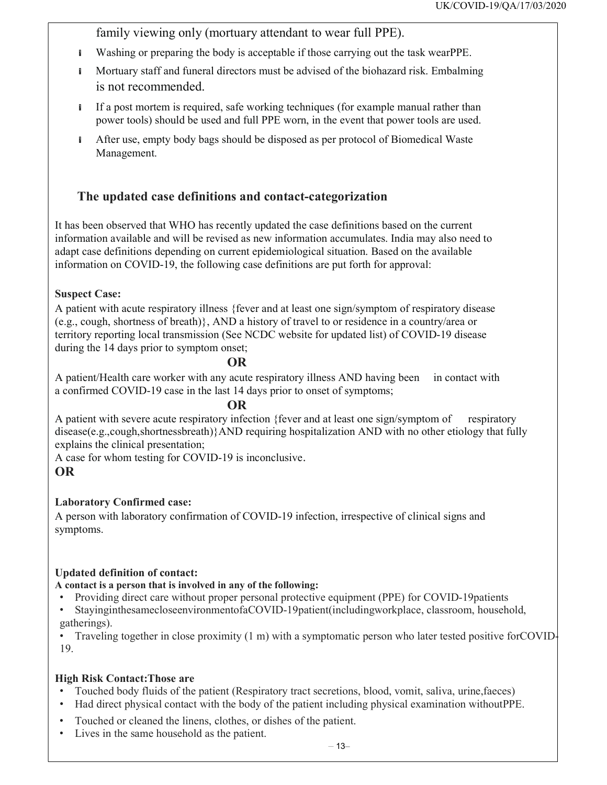family viewing only (mortuary attendant to wear full PPE).

- Washing or preparing the body is acceptable if those carrying out the task wearPPE.
- **Mortuary staff and funeral directors must be advised of the biohazard risk. Embalming** is not recommended.
- If a post mortem is required, safe working techniques (for example manual rather than power tools) should be used and full PPE worn, in the event that power tools are used.
- After use, empty body bags should be disposed as per protocol of Biomedical Waste Management.

# The updated case definitions and contact-categorization

It has been observed that WHO has recently updated the case definitions based on the current information available and will be revised as new information accumulates. India may also need to adapt case definitions depending on current epidemiological situation. Based on the available information on COVID-19, the following case definitions are put forth for approval:

### Suspect Case:

A patient with acute respiratory illness {fever and at least one sign/symptom of respiratory disease (e.g., cough, shortness of breath)}, AND a history of travel to or residence in a country/area or territory reporting local transmission (See NCDC website for updated list) of COVID-19 disease during the 14 days prior to symptom onset;

OR

A patient/Health care worker with any acute respiratory illness AND having been in contact with a confirmed COVID-19 case in the last 14 days prior to onset of symptoms;

### OR

A patient with severe acute respiratory infection {fever and at least one sign/symptom of respiratory disease(e.g.,cough,shortnessbreath)}AND requiring hospitalization AND with no other etiology that fully explains the clinical presentation;

A case for whom testing for COVID-19 is inconclusive.

## OR

### Laboratory Confirmed case:

A person with laboratory confirmation of COVID-19 infection, irrespective of clinical signs and symptoms.

### Updated definition of contact:

A contact is a person that is involved in any of the following:

- Providing direct care without proper personal protective equipment (PPE) for COVID-19 patients
- StayinginthesamecloseenvironmentofaCOVID-19patient(includingworkplace, classroom, household, gatherings).

• Traveling together in close proximity (1 m) with a symptomatic person who later tested positive forCOVID-19.

### High Risk Contact:Those are

- Touched body fluids of the patient (Respiratory tract secretions, blood, vomit, saliva, urine,faeces)
- Had direct physical contact with the body of the patient including physical examination without PPE.
- Touched or cleaned the linens, clothes, or dishes of the patient.
- Lives in the same household as the patient.

– 13–